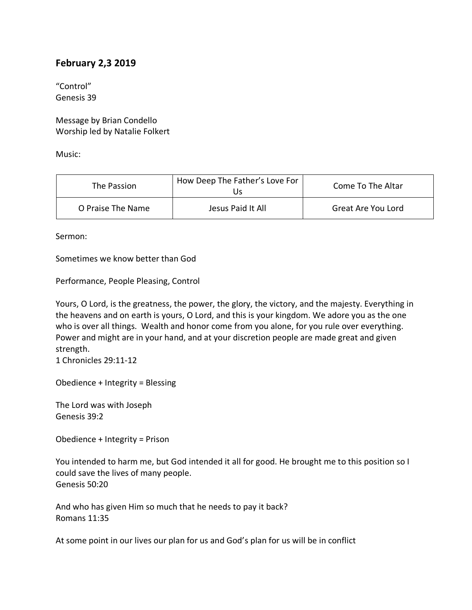## **February 2,3 2019**

"Control" Genesis 39

Message by Brian Condello Worship led by Natalie Folkert

Music:

| The Passion       | How Deep The Father's Love For<br>Js | Come To The Altar  |
|-------------------|--------------------------------------|--------------------|
| O Praise The Name | Jesus Paid It All                    | Great Are You Lord |

Sermon:

Sometimes we know better than God

Performance, People Pleasing, Control

Yours, O Lord, is the greatness, the power, the glory, the victory, and the majesty. Everything in the heavens and on earth is yours, O Lord, and this is your kingdom. We adore you as the one who is over all things. Wealth and honor come from you alone, for you rule over everything. Power and might are in your hand, and at your discretion people are made great and given strength.

1 Chronicles 29:11-12

Obedience + Integrity = Blessing

The Lord was with Joseph Genesis 39:2

Obedience + Integrity = Prison

You intended to harm me, but God intended it all for good. He brought me to this position so I could save the lives of many people. Genesis 50:20

And who has given Him so much that he needs to pay it back? Romans 11:35

At some point in our lives our plan for us and God's plan for us will be in conflict